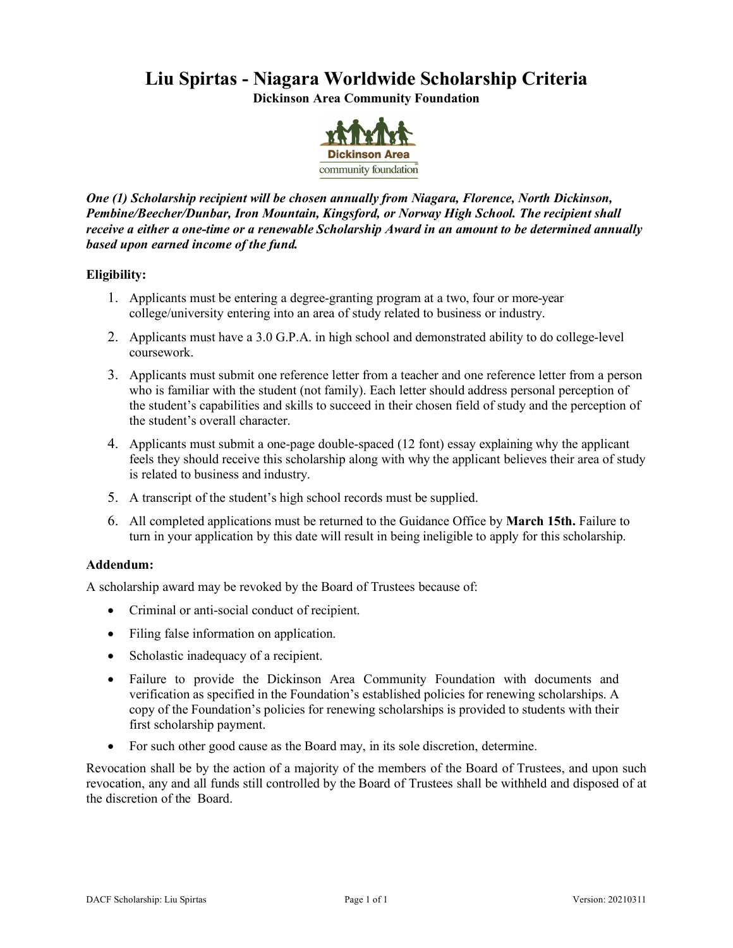# **Liu Spirtas - Niagara Worldwide Scholarship Criteria**

**Dickinson Area Community Foundation**



*One (1) Scholarship recipient will be chosen annually from Niagara, Florence, North Dickinson, Pembine/Beecher/Dunbar, Iron Mountain, Kingsford, or Norway High School. The recipient shall receive a either a one-time or a renewable Scholarship Award in an amount to be determined annually based upon earned income of the fund.*

# **Eligibility:**

- 1. Applicants must be entering a degree-granting program at a two, four or more-year college/university entering into an area of study related to business or industry.
- 2. Applicants must have a 3.0 G.P.A. in high school and demonstrated ability to do college-level coursework.
- 3. Applicants must submit one reference letter from a teacher and one reference letter from a person who is familiar with the student (not family). Each letter should address personal perception of the student's capabilities and skills to succeed in their chosen field of study and the perception of the student's overall character.
- 4. Applicants must submit a one-page double-spaced (12 font) essay explaining why the applicant feels they should receive this scholarship along with why the applicant believes their area of study is related to business and industry.
- 5. A transcript of the student's high school records must be supplied.
- 6. All completed applications must be returned to the Guidance Office by **March 15th.** Failure to turn in your application by this date will result in being ineligible to apply for this scholarship.

# **Addendum:**

A scholarship award may be revoked by the Board of Trustees because of:

- Criminal or anti-social conduct of recipient.
- Filing false information on application.
- Scholastic inadequacy of a recipient.
- Failure to provide the Dickinson Area Community Foundation with documents and verification as specified in the Foundation's established policies for renewing scholarships. A copy of the Foundation's policies for renewing scholarships is provided to students with their first scholarship payment.
- For such other good cause as the Board may, in its sole discretion, determine.

Revocation shall be by the action of a majority of the members of the Board of Trustees, and upon such revocation, any and all funds still controlled by the Board of Trustees shall be withheld and disposed of at the discretion of the Board.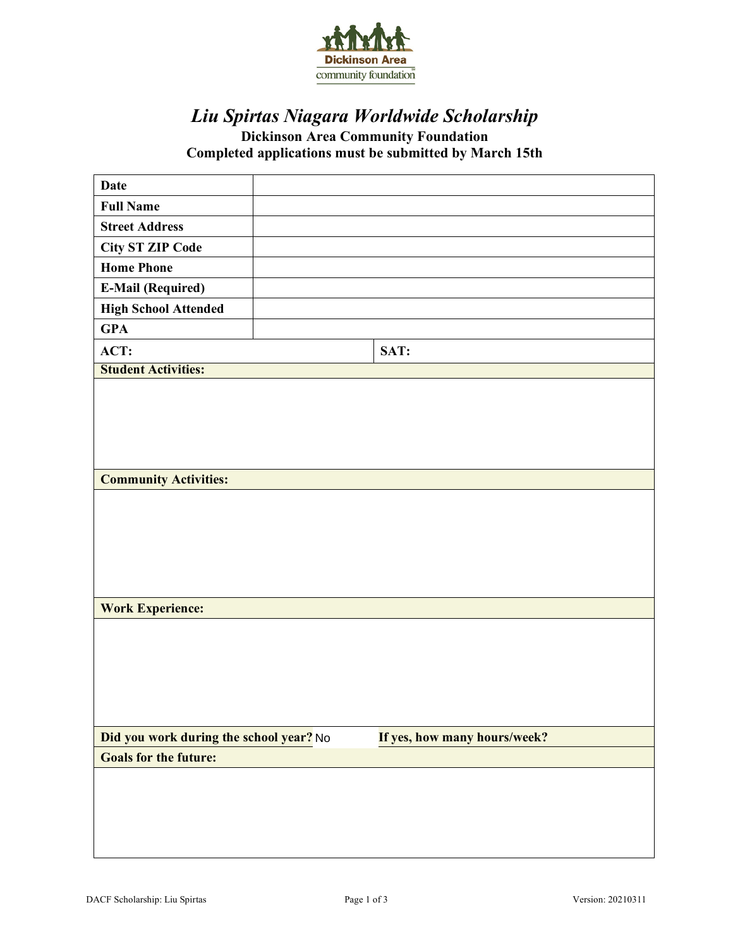

# *Liu Spirtas Niagara Worldwide Scholarship*

**Dickinson Area Community Foundation Completed applications must be submitted by March 15th**

| <b>Date</b>                             |                              |
|-----------------------------------------|------------------------------|
| <b>Full Name</b>                        |                              |
| <b>Street Address</b>                   |                              |
| <b>City ST ZIP Code</b>                 |                              |
| <b>Home Phone</b>                       |                              |
| <b>E-Mail (Required)</b>                |                              |
| <b>High School Attended</b>             |                              |
| <b>GPA</b>                              |                              |
| ACT:                                    | SAT:                         |
| <b>Student Activities:</b>              |                              |
|                                         |                              |
|                                         |                              |
|                                         |                              |
|                                         |                              |
| <b>Community Activities:</b>            |                              |
|                                         |                              |
|                                         |                              |
|                                         |                              |
|                                         |                              |
|                                         |                              |
|                                         |                              |
| <b>Work Experience:</b>                 |                              |
|                                         |                              |
|                                         |                              |
|                                         |                              |
|                                         |                              |
|                                         |                              |
| Did you work during the school year? No | If yes, how many hours/week? |
| <b>Goals for the future:</b>            |                              |
|                                         |                              |
|                                         |                              |
|                                         |                              |
|                                         |                              |
|                                         |                              |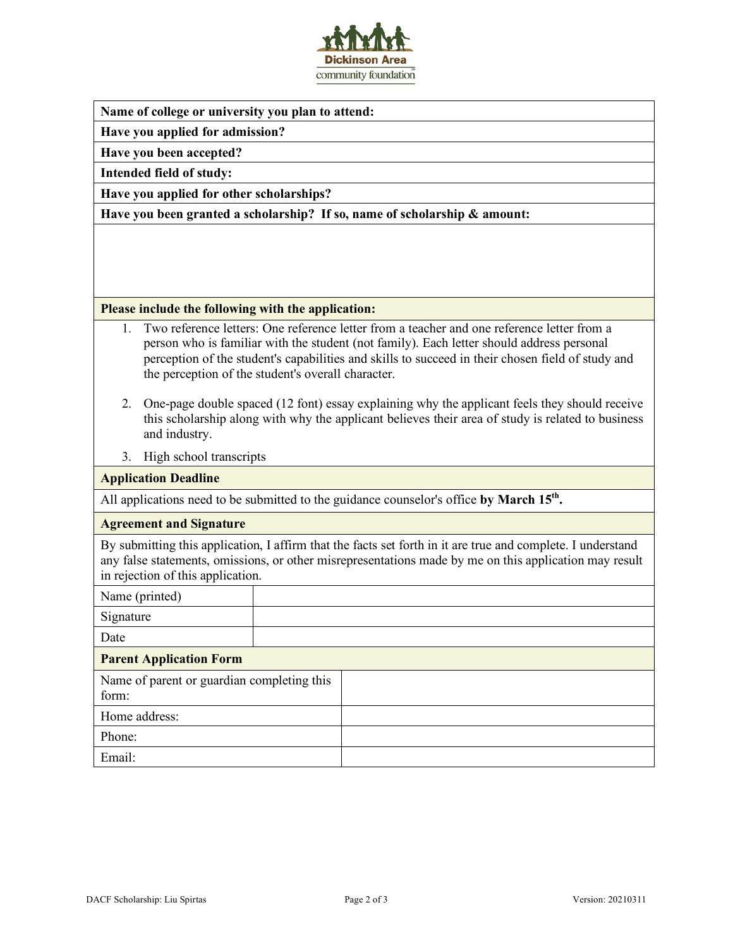

#### **Name of college or university you plan to attend:**

**Have you applied for admission?**

**Have you been accepted?**

**Intended field of study:**

**Have you applied for other scholarships?**

**Have you been granted a scholarship? If so, name of scholarship & amount:**

#### **Please include the following with the application:**

- 1. Two reference letters: One reference letter from a teacher and one reference letter from a person who is familiar with the student (not family). Each letter should address personal perception of the student's capabilities and skills to succeed in their chosen field of study and the perception of the student's overall character.
- 2. One-page double spaced (12 font) essay explaining why the applicant feels they should receive this scholarship along with why the applicant believes their area of study is related to business and industry.
- 3. High school transcripts

#### **Application Deadline**

All applications need to be submitted to the guidance counselor's office **by March 15th.**

#### **Agreement and Signature**

By submitting this application, I affirm that the facts set forth in it are true and complete. I understand any false statements, omissions, or other misrepresentations made by me on this application may result in rejection of this application.

Name (printed) Signature Date **Parent Application Form** Name of parent or guardian completing this form: Home address: Phone: Email: